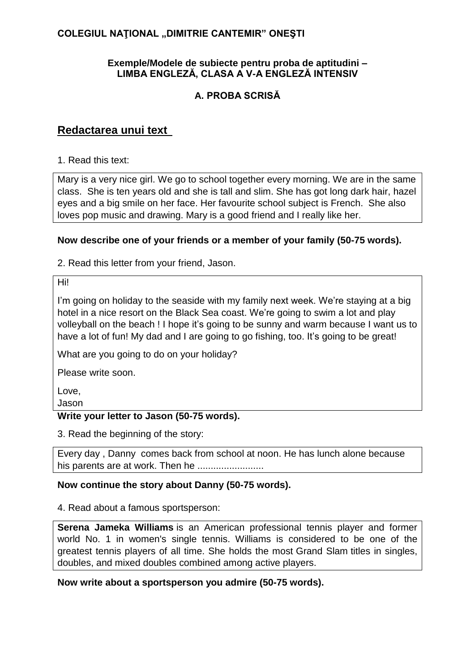## **COLEGIUL NAȚIONAL "DIMITRIE CANTEMIR" ONEȘTI**

### **Exemple/Modele de subiecte pentru proba de aptitudini – LIMBA ENGLEZĂ, CLASA A V-A ENGLEZĂ INTENSIV**

# **A. PROBA SCRISĂ**

# **Redactarea unui text**

1. Read this text:

Mary is a very nice girl. We go to school together every morning. We are in the same class. She is ten years old and she is tall and slim. She has got long dark hair, hazel eyes and a big smile on her face. Her favourite school subject is French. She also loves pop music and drawing. Mary is a good friend and I really like her.

#### **Now describe one of your friends or a member of your family (50-75 words).**

2. Read this letter from your friend, Jason.

Hi!

I'm going on holiday to the seaside with my family next week. We're staying at a big hotel in a nice resort on the Black Sea coast. We're going to swim a lot and play volleyball on the beach ! I hope it's going to be sunny and warm because I want us to have a lot of fun! My dad and I are going to go fishing, too. It's going to be great!

What are you going to do on your holiday?

Please write soon.

Love,

Jason

#### **Write your letter to Jason (50-75 words).**

3. Read the beginning of the story:

Every day , Danny comes back from school at noon. He has lunch alone because his parents are at work. Then he ........................

# **Now continue the story about Danny (50-75 words).**

4. Read about a famous sportsperson:

**Serena Jameka Williams** is an American professional tennis player and former world No. 1 in women's single tennis. Williams is considered to be one of the greatest tennis players of all time. She holds the most Grand Slam titles in singles, doubles, and mixed doubles combined among active players.

#### **Now write about a sportsperson you admire (50-75 words).**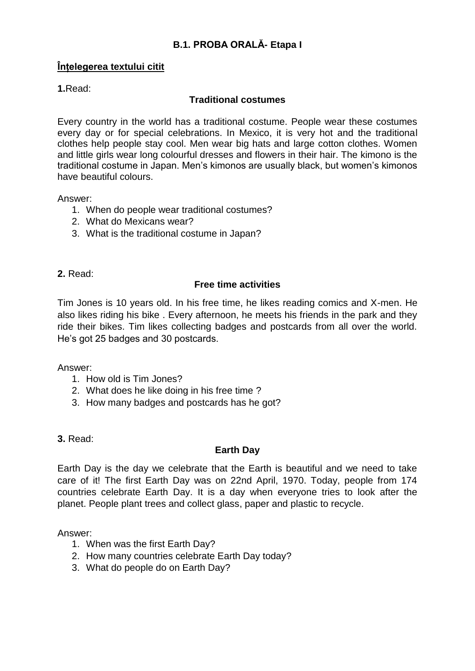# **B.1. PROBA ORALĂ- Etapa I**

## **Înțelegerea textului citit**

**1.**Read:

#### **Traditional costumes**

Every country in the world has a traditional costume. People wear these costumes every day or for special celebrations. In Mexico, it is very hot and the traditional clothes help people stay cool. Men wear big hats and large cotton clothes. Women and little girls wear long colourful dresses and flowers in their hair. The kimono is the traditional costume in Japan. Men's kimonos are usually black, but women's kimonos have beautiful colours.

Answer:

- 1. When do people wear traditional costumes?
- 2. What do Mexicans wear?
- 3. What is the traditional costume in Japan?

**2.** Read:

## **Free time activities**

Tim Jones is 10 years old. In his free time, he likes reading comics and X-men. He also likes riding his bike . Every afternoon, he meets his friends in the park and they ride their bikes. Tim likes collecting badges and postcards from all over the world. He's got 25 badges and 30 postcards.

Answer:

- 1. How old is Tim Jones?
- 2. What does he like doing in his free time ?
- 3. How many badges and postcards has he got?
- **3.** Read:

# **Earth Day**

Earth Day is the day we celebrate that the Earth is beautiful and we need to take care of it! The first Earth Day was on 22nd April, 1970. Today, people from 174 countries celebrate Earth Day. It is a day when everyone tries to look after the planet. People plant trees and collect glass, paper and plastic to recycle.

Answer:

- 1. When was the first Earth Day?
- 2. How many countries celebrate Earth Day today?
- 3. What do people do on Earth Day?